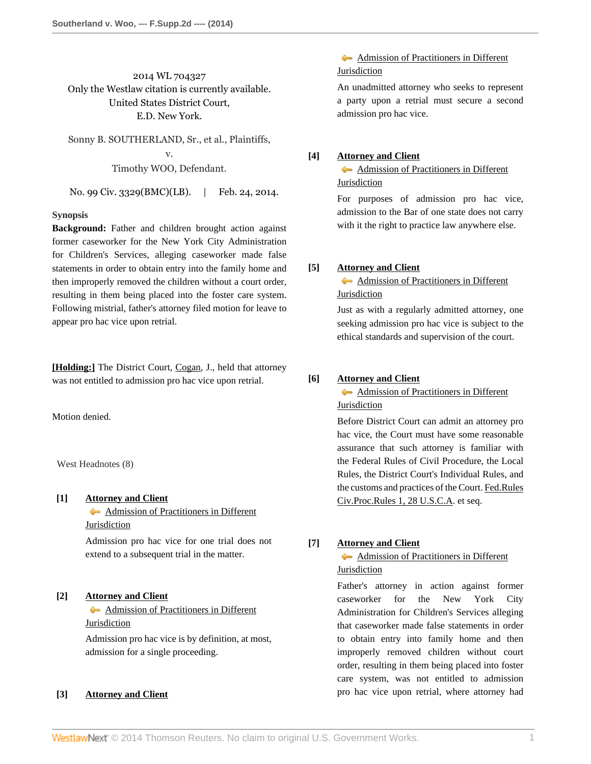2014 WL 704327 Only the Westlaw citation is currently available. United States District Court, E.D. New York.

Sonny B. SOUTHERLAND, Sr., et al., Plaintiffs, v. Timothy WOO, Defendant.

No. 99 Civ. 3329(BMC)(LB). | Feb. 24, 2014.

# **Synopsis**

**Background:** Father and children brought action against former caseworker for the New York City Administration for Children's Services, alleging caseworker made false statements in order to obtain entry into the family home and then improperly removed the children without a court order, resulting in them being placed into the foster care system. Following mistrial, father's attorney filed motion for leave to appear pro hac vice upon retrial.

**[\[Holding:\]](#page-0-0)** The District Court, [Cogan](http://www.westlaw.com/Link/Document/FullText?findType=h&pubNum=176284&cite=0425580801&originatingDoc=I8700b6589e2b11e3a659df62eba144e8&refType=RQ&originationContext=document&vr=3.0&rs=cblt1.0&transitionType=DocumentItem&contextData=(sc.History*oc.Search)), J., held that attorney was not entitled to admission pro hac vice upon retrial.

Motion denied.

West Headnotes (8)

# <span id="page-0-1"></span>**[\[1\]](#page-2-0) [Attorney and Client](http://www.westlaw.com/Browse/Home/KeyNumber/45/View.html?docGuid=I8700b6589e2b11e3a659df62eba144e8&originationContext=document&vr=3.0&rs=cblt1.0&transitionType=DocumentItem&contextData=(sc.History*oc.Search))**

[Admission of Practitioners in Different](http://www.westlaw.com/Browse/Home/KeyNumber/45k10/View.html?docGuid=I8700b6589e2b11e3a659df62eba144e8&originationContext=document&vr=3.0&rs=cblt1.0&transitionType=DocumentItem&contextData=(sc.History*oc.Search)) [Jurisdiction](http://www.westlaw.com/Browse/Home/KeyNumber/45k10/View.html?docGuid=I8700b6589e2b11e3a659df62eba144e8&originationContext=document&vr=3.0&rs=cblt1.0&transitionType=DocumentItem&contextData=(sc.History*oc.Search))

Admission pro hac vice for one trial does not extend to a subsequent trial in the matter.

# <span id="page-0-2"></span>**[\[2\]](#page-2-1) [Attorney and Client](http://www.westlaw.com/Browse/Home/KeyNumber/45/View.html?docGuid=I8700b6589e2b11e3a659df62eba144e8&originationContext=document&vr=3.0&rs=cblt1.0&transitionType=DocumentItem&contextData=(sc.History*oc.Search))**

[Admission of Practitioners in Different](http://www.westlaw.com/Browse/Home/KeyNumber/45k10/View.html?docGuid=I8700b6589e2b11e3a659df62eba144e8&originationContext=document&vr=3.0&rs=cblt1.0&transitionType=DocumentItem&contextData=(sc.History*oc.Search)) [Jurisdiction](http://www.westlaw.com/Browse/Home/KeyNumber/45k10/View.html?docGuid=I8700b6589e2b11e3a659df62eba144e8&originationContext=document&vr=3.0&rs=cblt1.0&transitionType=DocumentItem&contextData=(sc.History*oc.Search))

Admission pro hac vice is by definition, at most, admission for a single proceeding.

## <span id="page-0-3"></span>**[\[3\]](#page-2-2) [Attorney and Client](http://www.westlaw.com/Browse/Home/KeyNumber/45/View.html?docGuid=I8700b6589e2b11e3a659df62eba144e8&originationContext=document&vr=3.0&rs=cblt1.0&transitionType=DocumentItem&contextData=(sc.History*oc.Search))**

[Admission of Practitioners in Different](http://www.westlaw.com/Browse/Home/KeyNumber/45k10/View.html?docGuid=I8700b6589e2b11e3a659df62eba144e8&originationContext=document&vr=3.0&rs=cblt1.0&transitionType=DocumentItem&contextData=(sc.History*oc.Search)) [Jurisdiction](http://www.westlaw.com/Browse/Home/KeyNumber/45k10/View.html?docGuid=I8700b6589e2b11e3a659df62eba144e8&originationContext=document&vr=3.0&rs=cblt1.0&transitionType=DocumentItem&contextData=(sc.History*oc.Search))

An unadmitted attorney who seeks to represent a party upon a retrial must secure a second admission pro hac vice.

# <span id="page-0-4"></span>**[\[4\]](#page-2-3) [Attorney and Client](http://www.westlaw.com/Browse/Home/KeyNumber/45/View.html?docGuid=I8700b6589e2b11e3a659df62eba144e8&originationContext=document&vr=3.0&rs=cblt1.0&transitionType=DocumentItem&contextData=(sc.History*oc.Search))**

[Admission of Practitioners in Different](http://www.westlaw.com/Browse/Home/KeyNumber/45k10/View.html?docGuid=I8700b6589e2b11e3a659df62eba144e8&originationContext=document&vr=3.0&rs=cblt1.0&transitionType=DocumentItem&contextData=(sc.History*oc.Search)) [Jurisdiction](http://www.westlaw.com/Browse/Home/KeyNumber/45k10/View.html?docGuid=I8700b6589e2b11e3a659df62eba144e8&originationContext=document&vr=3.0&rs=cblt1.0&transitionType=DocumentItem&contextData=(sc.History*oc.Search))

For purposes of admission pro hac vice, admission to the Bar of one state does not carry with it the right to practice law anywhere else.

# <span id="page-0-5"></span>**[\[5\]](#page-2-4) [Attorney and Client](http://www.westlaw.com/Browse/Home/KeyNumber/45/View.html?docGuid=I8700b6589e2b11e3a659df62eba144e8&originationContext=document&vr=3.0&rs=cblt1.0&transitionType=DocumentItem&contextData=(sc.History*oc.Search))**

[Admission of Practitioners in Different](http://www.westlaw.com/Browse/Home/KeyNumber/45k10/View.html?docGuid=I8700b6589e2b11e3a659df62eba144e8&originationContext=document&vr=3.0&rs=cblt1.0&transitionType=DocumentItem&contextData=(sc.History*oc.Search)) **[Jurisdiction](http://www.westlaw.com/Browse/Home/KeyNumber/45k10/View.html?docGuid=I8700b6589e2b11e3a659df62eba144e8&originationContext=document&vr=3.0&rs=cblt1.0&transitionType=DocumentItem&contextData=(sc.History*oc.Search))** 

Just as with a regularly admitted attorney, one seeking admission pro hac vice is subject to the ethical standards and supervision of the court.

### <span id="page-0-6"></span>**[\[6\]](#page-2-5) [Attorney and Client](http://www.westlaw.com/Browse/Home/KeyNumber/45/View.html?docGuid=I8700b6589e2b11e3a659df62eba144e8&originationContext=document&vr=3.0&rs=cblt1.0&transitionType=DocumentItem&contextData=(sc.History*oc.Search))**

**[Admission of Practitioners in Different](http://www.westlaw.com/Browse/Home/KeyNumber/45k10/View.html?docGuid=I8700b6589e2b11e3a659df62eba144e8&originationContext=document&vr=3.0&rs=cblt1.0&transitionType=DocumentItem&contextData=(sc.History*oc.Search)) [Jurisdiction](http://www.westlaw.com/Browse/Home/KeyNumber/45k10/View.html?docGuid=I8700b6589e2b11e3a659df62eba144e8&originationContext=document&vr=3.0&rs=cblt1.0&transitionType=DocumentItem&contextData=(sc.History*oc.Search))** 

Before District Court can admit an attorney pro hac vice, the Court must have some reasonable assurance that such attorney is familiar with the Federal Rules of Civil Procedure, the Local Rules, the District Court's Individual Rules, and the customs and practices of the Court. [Fed.Rules](http://www.westlaw.com/Link/Document/FullText?findType=L&pubNum=1004365&cite=USFRCPR1&originatingDoc=I8700b6589e2b11e3a659df62eba144e8&refType=LQ&originationContext=document&vr=3.0&rs=cblt1.0&transitionType=DocumentItem&contextData=(sc.History*oc.Search)) [Civ.Proc.Rules 1, 28 U.S.C.A](http://www.westlaw.com/Link/Document/FullText?findType=L&pubNum=1004365&cite=USFRCPR1&originatingDoc=I8700b6589e2b11e3a659df62eba144e8&refType=LQ&originationContext=document&vr=3.0&rs=cblt1.0&transitionType=DocumentItem&contextData=(sc.History*oc.Search)). et seq.

# <span id="page-0-0"></span>**[\[7\]](#page-2-6) [Attorney and Client](http://www.westlaw.com/Browse/Home/KeyNumber/45/View.html?docGuid=I8700b6589e2b11e3a659df62eba144e8&originationContext=document&vr=3.0&rs=cblt1.0&transitionType=DocumentItem&contextData=(sc.History*oc.Search))**

# [Admission of Practitioners in Different](http://www.westlaw.com/Browse/Home/KeyNumber/45k10/View.html?docGuid=I8700b6589e2b11e3a659df62eba144e8&originationContext=document&vr=3.0&rs=cblt1.0&transitionType=DocumentItem&contextData=(sc.History*oc.Search)) **[Jurisdiction](http://www.westlaw.com/Browse/Home/KeyNumber/45k10/View.html?docGuid=I8700b6589e2b11e3a659df62eba144e8&originationContext=document&vr=3.0&rs=cblt1.0&transitionType=DocumentItem&contextData=(sc.History*oc.Search))**

Father's attorney in action against former caseworker for the New York City Administration for Children's Services alleging that caseworker made false statements in order to obtain entry into family home and then improperly removed children without court order, resulting in them being placed into foster care system, was not entitled to admission pro hac vice upon retrial, where attorney had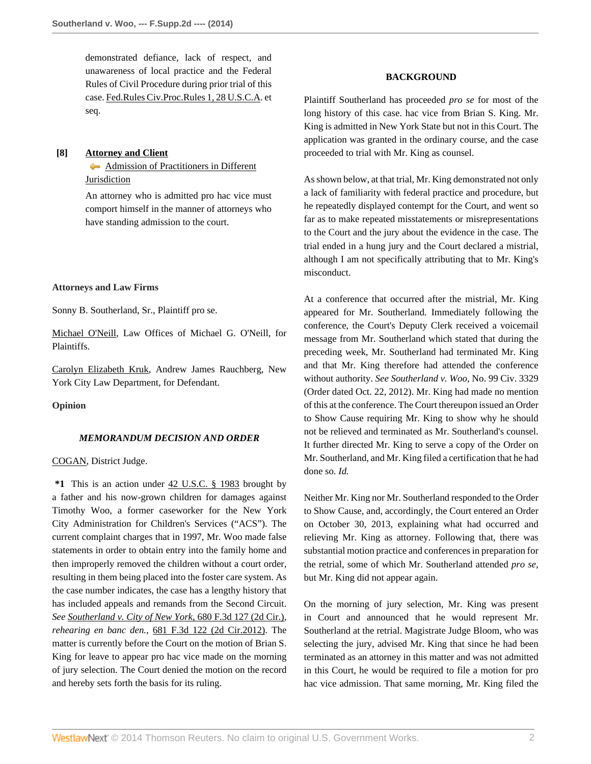demonstrated defiance, lack of respect, and unawareness of local practice and the Federal Rules of Civil Procedure during prior trial of this case. [Fed.Rules Civ.Proc.Rules 1, 28 U.S.C.A.](http://www.westlaw.com/Link/Document/FullText?findType=L&pubNum=1004365&cite=USFRCPR1&originatingDoc=I8700b6589e2b11e3a659df62eba144e8&refType=LQ&originationContext=document&vr=3.0&rs=cblt1.0&transitionType=DocumentItem&contextData=(sc.History*oc.Search)) et seq.

# <span id="page-1-0"></span>**[\[8\]](#page-2-7) [Attorney and Client](http://www.westlaw.com/Browse/Home/KeyNumber/45/View.html?docGuid=I8700b6589e2b11e3a659df62eba144e8&originationContext=document&vr=3.0&rs=cblt1.0&transitionType=DocumentItem&contextData=(sc.History*oc.Search))**

[Admission of Practitioners in Different](http://www.westlaw.com/Browse/Home/KeyNumber/45k10/View.html?docGuid=I8700b6589e2b11e3a659df62eba144e8&originationContext=document&vr=3.0&rs=cblt1.0&transitionType=DocumentItem&contextData=(sc.History*oc.Search)) [Jurisdiction](http://www.westlaw.com/Browse/Home/KeyNumber/45k10/View.html?docGuid=I8700b6589e2b11e3a659df62eba144e8&originationContext=document&vr=3.0&rs=cblt1.0&transitionType=DocumentItem&contextData=(sc.History*oc.Search))

An attorney who is admitted pro hac vice must comport himself in the manner of attorneys who have standing admission to the court.

### **Attorneys and Law Firms**

Sonny B. Southerland, Sr., Plaintiff pro se.

[Michael O'Neill](http://www.westlaw.com/Link/Document/FullText?findType=h&pubNum=176284&cite=0283838801&originatingDoc=I8700b6589e2b11e3a659df62eba144e8&refType=RQ&originationContext=document&vr=3.0&rs=cblt1.0&transitionType=DocumentItem&contextData=(sc.History*oc.Search)), Law Offices of Michael G. O'Neill, for Plaintiffs.

[Carolyn Elizabeth Kruk](http://www.westlaw.com/Link/Document/FullText?findType=h&pubNum=176284&cite=0394965701&originatingDoc=I8700b6589e2b11e3a659df62eba144e8&refType=RQ&originationContext=document&vr=3.0&rs=cblt1.0&transitionType=DocumentItem&contextData=(sc.History*oc.Search)), Andrew James Rauchberg, New York City Law Department, for Defendant.

**Opinion**

#### *MEMORANDUM DECISION AND ORDER*

# [COGAN,](http://www.westlaw.com/Link/Document/FullText?findType=h&pubNum=176284&cite=0425580801&originatingDoc=I8700b6589e2b11e3a659df62eba144e8&refType=RQ&originationContext=document&vr=3.0&rs=cblt1.0&transitionType=DocumentItem&contextData=(sc.History*oc.Search)) District Judge.

**\*1** This is an action under [42 U.S.C. § 1983](http://www.westlaw.com/Link/Document/FullText?findType=L&pubNum=1000546&cite=42USCAS1983&originatingDoc=I8700b6589e2b11e3a659df62eba144e8&refType=LQ&originationContext=document&vr=3.0&rs=cblt1.0&transitionType=DocumentItem&contextData=(sc.History*oc.Search)) brought by a father and his now-grown children for damages against Timothy Woo, a former caseworker for the New York City Administration for Children's Services ("ACS"). The current complaint charges that in 1997, Mr. Woo made false statements in order to obtain entry into the family home and then improperly removed the children without a court order, resulting in them being placed into the foster care system. As the case number indicates, the case has a lengthy history that has included appeals and remands from the Second Circuit. *See [Southerland v. City of New York,](http://www.westlaw.com/Link/Document/FullText?findType=Y&serNum=2027683981&pubNum=506&originationContext=document&vr=3.0&rs=cblt1.0&transitionType=DocumentItem&contextData=(sc.History*oc.Search))* 680 F.3d 127 (2d Cir.), *rehearing en banc den.,* [681 F.3d 122 \(2d Cir.2012\).](http://www.westlaw.com/Link/Document/FullText?findType=Y&serNum=2027744792&pubNum=506&originationContext=document&vr=3.0&rs=cblt1.0&transitionType=DocumentItem&contextData=(sc.History*oc.Search)) The matter is currently before the Court on the motion of Brian S. King for leave to appear pro hac vice made on the morning of jury selection. The Court denied the motion on the record and hereby sets forth the basis for its ruling.

# **BACKGROUND**

Plaintiff Southerland has proceeded *pro se* for most of the long history of this case. hac vice from Brian S. King. Mr. King is admitted in New York State but not in this Court. The application was granted in the ordinary course, and the case proceeded to trial with Mr. King as counsel.

As shown below, at that trial, Mr. King demonstrated not only a lack of familiarity with federal practice and procedure, but he repeatedly displayed contempt for the Court, and went so far as to make repeated misstatements or misrepresentations to the Court and the jury about the evidence in the case. The trial ended in a hung jury and the Court declared a mistrial, although I am not specifically attributing that to Mr. King's misconduct.

At a conference that occurred after the mistrial, Mr. King appeared for Mr. Southerland. Immediately following the conference, the Court's Deputy Clerk received a voicemail message from Mr. Southerland which stated that during the preceding week, Mr. Southerland had terminated Mr. King and that Mr. King therefore had attended the conference without authority. *See Southerland v. Woo,* No. 99 Civ. 3329 (Order dated Oct. 22, 2012). Mr. King had made no mention of this at the conference. The Court thereupon issued an Order to Show Cause requiring Mr. King to show why he should not be relieved and terminated as Mr. Southerland's counsel. It further directed Mr. King to serve a copy of the Order on Mr. Southerland, and Mr. King filed a certification that he had done so. *Id.*

Neither Mr. King nor Mr. Southerland responded to the Order to Show Cause, and, accordingly, the Court entered an Order on October 30, 2013, explaining what had occurred and relieving Mr. King as attorney. Following that, there was substantial motion practice and conferences in preparation for the retrial, some of which Mr. Southerland attended *pro se,* but Mr. King did not appear again.

On the morning of jury selection, Mr. King was present in Court and announced that he would represent Mr. Southerland at the retrial. Magistrate Judge Bloom, who was selecting the jury, advised Mr. King that since he had been terminated as an attorney in this matter and was not admitted in this Court, he would be required to file a motion for pro hac vice admission. That same morning, Mr. King filed the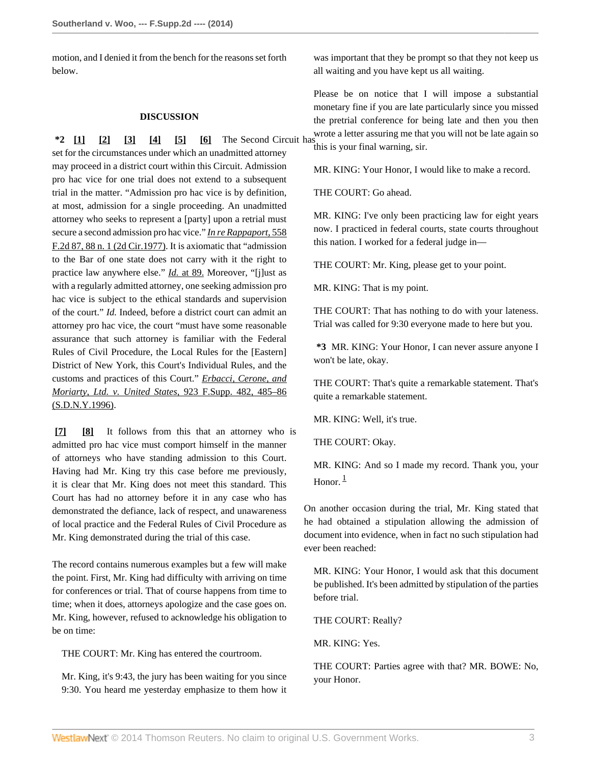motion, and I denied it from the bench for the reasons set forth below.

## <span id="page-2-5"></span><span id="page-2-4"></span><span id="page-2-3"></span><span id="page-2-2"></span><span id="page-2-1"></span>**DISCUSSION**

<span id="page-2-0"></span>**\*2 [\[1\]](#page-0-1) [\[2\]](#page-0-2) [\[3](#page-0-3)] [\[4\]](#page-0-4) [\[5\]](#page-0-5) [\[6\]](#page-0-6)** The Second Circuit has set for the circumstances under which an unadmitted attorney may proceed in a district court within this Circuit. Admission pro hac vice for one trial does not extend to a subsequent trial in the matter. "Admission pro hac vice is by definition, at most, admission for a single proceeding. An unadmitted attorney who seeks to represent a [party] upon a retrial must secure a second admission pro hac vice." *[In re Rappaport,](http://www.westlaw.com/Link/Document/FullText?findType=Y&serNum=1977122866&pubNum=350&originationContext=document&vr=3.0&rs=cblt1.0&transitionType=DocumentItem&contextData=(sc.History*oc.Search)#co_pp_sp_350_88)* 558 [F.2d 87, 88 n. 1 \(2d Cir.1977\).](http://www.westlaw.com/Link/Document/FullText?findType=Y&serNum=1977122866&pubNum=350&originationContext=document&vr=3.0&rs=cblt1.0&transitionType=DocumentItem&contextData=(sc.History*oc.Search)#co_pp_sp_350_88) It is axiomatic that "admission to the Bar of one state does not carry with it the right to practice law anywhere else." *Id.* [at 89.](http://www.westlaw.com/Link/Document/FullText?findType=Y&serNum=1977122866&originationContext=document&vr=3.0&rs=cblt1.0&transitionType=DocumentItem&contextData=(sc.History*oc.Search)) Moreover, "[j]ust as with a regularly admitted attorney, one seeking admission pro hac vice is subject to the ethical standards and supervision of the court." *Id.* Indeed, before a district court can admit an attorney pro hac vice, the court "must have some reasonable assurance that such attorney is familiar with the Federal Rules of Civil Procedure, the Local Rules for the [Eastern] District of New York, this Court's Individual Rules, and the customs and practices of this Court." *[Erbacci, Cerone, and](http://www.westlaw.com/Link/Document/FullText?findType=Y&serNum=1996091404&pubNum=345&originationContext=document&vr=3.0&rs=cblt1.0&transitionType=DocumentItem&contextData=(sc.History*oc.Search)#co_pp_sp_345_485) [Moriarty, Ltd. v. United States,](http://www.westlaw.com/Link/Document/FullText?findType=Y&serNum=1996091404&pubNum=345&originationContext=document&vr=3.0&rs=cblt1.0&transitionType=DocumentItem&contextData=(sc.History*oc.Search)#co_pp_sp_345_485)* 923 F.Supp. 482, 485–86 [\(S.D.N.Y.1996\).](http://www.westlaw.com/Link/Document/FullText?findType=Y&serNum=1996091404&pubNum=345&originationContext=document&vr=3.0&rs=cblt1.0&transitionType=DocumentItem&contextData=(sc.History*oc.Search)#co_pp_sp_345_485)

<span id="page-2-7"></span><span id="page-2-6"></span>**[\[7\]](#page-0-0) [\[8\]](#page-1-0)** It follows from this that an attorney who is admitted pro hac vice must comport himself in the manner of attorneys who have standing admission to this Court. Having had Mr. King try this case before me previously, it is clear that Mr. King does not meet this standard. This Court has had no attorney before it in any case who has demonstrated the defiance, lack of respect, and unawareness of local practice and the Federal Rules of Civil Procedure as Mr. King demonstrated during the trial of this case.

The record contains numerous examples but a few will make the point. First, Mr. King had difficulty with arriving on time for conferences or trial. That of course happens from time to time; when it does, attorneys apologize and the case goes on. Mr. King, however, refused to acknowledge his obligation to be on time:

THE COURT: Mr. King has entered the courtroom.

Mr. King, it's 9:43, the jury has been waiting for you since 9:30. You heard me yesterday emphasize to them how it was important that they be prompt so that they not keep us all waiting and you have kept us all waiting.

Please be on notice that I will impose a substantial monetary fine if you are late particularly since you missed the pretrial conference for being late and then you then wrote a letter assuring me that you will not be late again so this is your final warning, sir.

MR. KING: Your Honor, I would like to make a record.

THE COURT: Go ahead.

MR. KING: I've only been practicing law for eight years now. I practiced in federal courts, state courts throughout this nation. I worked for a federal judge in—

THE COURT: Mr. King, please get to your point.

MR. KING: That is my point.

THE COURT: That has nothing to do with your lateness. Trial was called for 9:30 everyone made to here but you.

**\*3** MR. KING: Your Honor, I can never assure anyone I won't be late, okay.

THE COURT: That's quite a remarkable statement. That's quite a remarkable statement.

MR. KING: Well, it's true.

THE COURT: Okay.

<span id="page-2-8"></span>MR. KING: And so I made my record. Thank you, your Honor. $\frac{1}{1}$  $\frac{1}{1}$  $\frac{1}{1}$ 

On another occasion during the trial, Mr. King stated that he had obtained a stipulation allowing the admission of document into evidence, when in fact no such stipulation had ever been reached:

MR. KING: Your Honor, I would ask that this document be published. It's been admitted by stipulation of the parties before trial.

THE COURT: Really?

MR. KING: Yes.

THE COURT: Parties agree with that? MR. BOWE: No, your Honor.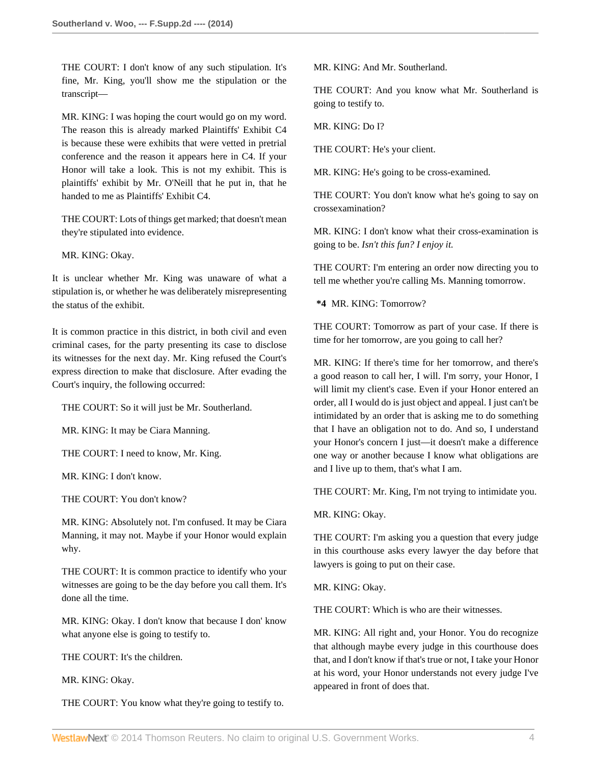THE COURT: I don't know of any such stipulation. It's fine, Mr. King, you'll show me the stipulation or the transcript—

MR. KING: I was hoping the court would go on my word. The reason this is already marked Plaintiffs' Exhibit C4 is because these were exhibits that were vetted in pretrial conference and the reason it appears here in C4. If your Honor will take a look. This is not my exhibit. This is plaintiffs' exhibit by Mr. O'Neill that he put in, that he handed to me as Plaintiffs' Exhibit C4.

THE COURT: Lots of things get marked; that doesn't mean they're stipulated into evidence.

MR. KING: Okay.

It is unclear whether Mr. King was unaware of what a stipulation is, or whether he was deliberately misrepresenting the status of the exhibit.

It is common practice in this district, in both civil and even criminal cases, for the party presenting its case to disclose its witnesses for the next day. Mr. King refused the Court's express direction to make that disclosure. After evading the Court's inquiry, the following occurred:

THE COURT: So it will just be Mr. Southerland.

MR. KING: It may be Ciara Manning.

THE COURT: I need to know, Mr. King.

MR. KING: I don't know.

THE COURT: You don't know?

MR. KING: Absolutely not. I'm confused. It may be Ciara Manning, it may not. Maybe if your Honor would explain why.

THE COURT: It is common practice to identify who your witnesses are going to be the day before you call them. It's done all the time.

MR. KING: Okay. I don't know that because I don' know what anyone else is going to testify to.

THE COURT: It's the children.

MR. KING: Okay.

THE COURT: You know what they're going to testify to.

MR. KING: And Mr. Southerland.

THE COURT: And you know what Mr. Southerland is going to testify to.

MR. KING: Do I?

THE COURT: He's your client.

MR. KING: He's going to be cross-examined.

THE COURT: You don't know what he's going to say on crossexamination?

MR. KING: I don't know what their cross-examination is going to be. *Isn't this fun? I enjoy it.*

THE COURT: I'm entering an order now directing you to tell me whether you're calling Ms. Manning tomorrow.

**\*4** MR. KING: Tomorrow?

THE COURT: Tomorrow as part of your case. If there is time for her tomorrow, are you going to call her?

MR. KING: If there's time for her tomorrow, and there's a good reason to call her, I will. I'm sorry, your Honor, I will limit my client's case. Even if your Honor entered an order, all I would do is just object and appeal. I just can't be intimidated by an order that is asking me to do something that I have an obligation not to do. And so, I understand your Honor's concern I just—it doesn't make a difference one way or another because I know what obligations are and I live up to them, that's what I am.

THE COURT: Mr. King, I'm not trying to intimidate you.

MR. KING: Okay.

THE COURT: I'm asking you a question that every judge in this courthouse asks every lawyer the day before that lawyers is going to put on their case.

MR. KING: Okay.

THE COURT: Which is who are their witnesses.

MR. KING: All right and, your Honor. You do recognize that although maybe every judge in this courthouse does that, and I don't know if that's true or not, I take your Honor at his word, your Honor understands not every judge I've appeared in front of does that.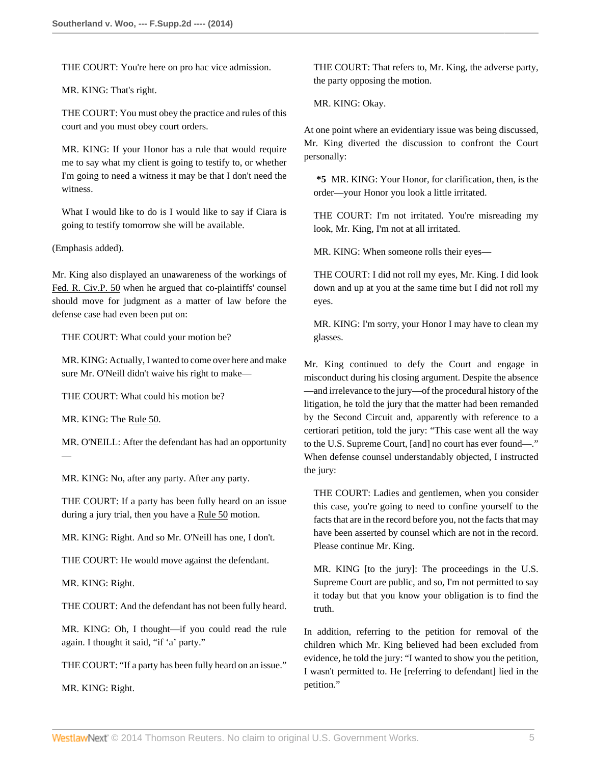THE COURT: You're here on pro hac vice admission.

MR. KING: That's right.

THE COURT: You must obey the practice and rules of this court and you must obey court orders.

MR. KING: If your Honor has a rule that would require me to say what my client is going to testify to, or whether I'm going to need a witness it may be that I don't need the witness.

What I would like to do is I would like to say if Ciara is going to testify tomorrow she will be available.

(Emphasis added).

Mr. King also displayed an unawareness of the workings of [Fed. R. Civ.P. 50](http://www.westlaw.com/Link/Document/FullText?findType=L&pubNum=1004365&cite=USFRCPR50&originatingDoc=I8700b6589e2b11e3a659df62eba144e8&refType=LQ&originationContext=document&vr=3.0&rs=cblt1.0&transitionType=DocumentItem&contextData=(sc.History*oc.Search)) when he argued that co-plaintiffs' counsel should move for judgment as a matter of law before the defense case had even been put on:

THE COURT: What could your motion be?

MR. KING: Actually, I wanted to come over here and make sure Mr. O'Neill didn't waive his right to make—

THE COURT: What could his motion be?

MR. KING: The [Rule 50](http://www.westlaw.com/Link/Document/FullText?findType=L&pubNum=1004365&cite=USFRCPR50&originatingDoc=I8700b6589e2b11e3a659df62eba144e8&refType=LQ&originationContext=document&vr=3.0&rs=cblt1.0&transitionType=DocumentItem&contextData=(sc.History*oc.Search)).

—

MR. O'NEILL: After the defendant has had an opportunity

MR. KING: No, after any party. After any party.

THE COURT: If a party has been fully heard on an issue during a jury trial, then you have a [Rule 50](http://www.westlaw.com/Link/Document/FullText?findType=L&pubNum=1004365&cite=USFRCPR50&originatingDoc=I8700b6589e2b11e3a659df62eba144e8&refType=LQ&originationContext=document&vr=3.0&rs=cblt1.0&transitionType=DocumentItem&contextData=(sc.History*oc.Search)) motion.

MR. KING: Right. And so Mr. O'Neill has one, I don't.

THE COURT: He would move against the defendant.

MR. KING: Right.

THE COURT: And the defendant has not been fully heard.

MR. KING: Oh, I thought—if you could read the rule again. I thought it said, "if 'a' party."

THE COURT: "If a party has been fully heard on an issue."

MR. KING: Right.

THE COURT: That refers to, Mr. King, the adverse party, the party opposing the motion.

MR. KING: Okay.

At one point where an evidentiary issue was being discussed, Mr. King diverted the discussion to confront the Court personally:

**\*5** MR. KING: Your Honor, for clarification, then, is the order—your Honor you look a little irritated.

THE COURT: I'm not irritated. You're misreading my look, Mr. King, I'm not at all irritated.

MR. KING: When someone rolls their eyes—

THE COURT: I did not roll my eyes, Mr. King. I did look down and up at you at the same time but I did not roll my eyes.

MR. KING: I'm sorry, your Honor I may have to clean my glasses.

Mr. King continued to defy the Court and engage in misconduct during his closing argument. Despite the absence —and irrelevance to the jury—of the procedural history of the litigation, he told the jury that the matter had been remanded by the Second Circuit and, apparently with reference to a certiorari petition, told the jury: "This case went all the way to the U.S. Supreme Court, [and] no court has ever found—." When defense counsel understandably objected, I instructed the jury:

THE COURT: Ladies and gentlemen, when you consider this case, you're going to need to confine yourself to the facts that are in the record before you, not the facts that may have been asserted by counsel which are not in the record. Please continue Mr. King.

MR. KING [to the jury]: The proceedings in the U.S. Supreme Court are public, and so, I'm not permitted to say it today but that you know your obligation is to find the truth.

In addition, referring to the petition for removal of the children which Mr. King believed had been excluded from evidence, he told the jury: "I wanted to show you the petition, I wasn't permitted to. He [referring to defendant] lied in the petition."